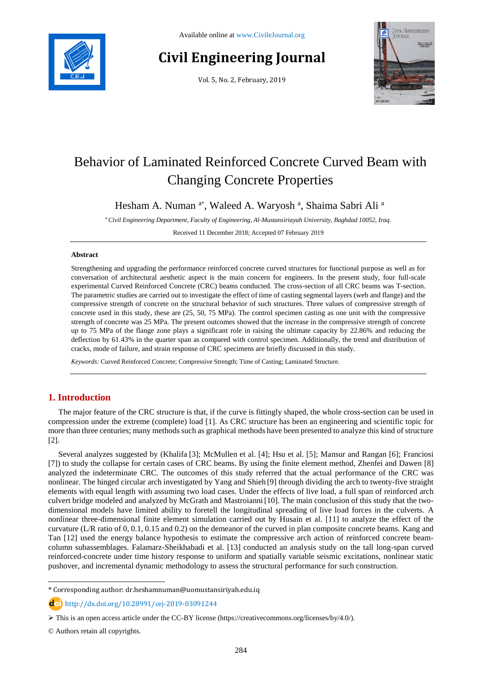

# **Civil Engineering Journal**

Vol. 5, No. 2, February, 2019



# Behavior of Laminated Reinforced Concrete Curved Beam with Changing Concrete Properties

Hesham A. Numan <sup>a\*</sup>, Waleed A. Waryosh <sup>a</sup>, Shaima Sabri Ali <sup>a</sup>

*<sup>a</sup>Civil Engineering Department, Faculty of Engineering, Al-Mustansiriayah University, Baghdad 10052, Iraq.*

Received 11 December 2018; Accepted 07 February 2019

#### **Abstract**

Strengthening and upgrading the performance reinforced concrete curved structures for functional purpose as well as for conversation of architectural aesthetic aspect is the main concern for engineers. In the present study, four full-scale experimental Curved Reinforced Concrete (CRC) beams conducted. The cross-section of all CRC beams was T-section. The parametric studies are carried out to investigate the effect of time of casting segmental layers (web and flange) and the compressive strength of concrete on the structural behavior of such structures. Three values of compressive strength of concrete used in this study, these are (25, 50, 75 MPa). The control specimen casting as one unit with the compressive strength of concrete was 25 MPa. The present outcomes showed that the increase in the compressive strength of concrete up to 75 MPa of the flange zone plays a significant role in raising the ultimate capacity by 22.86% and reducing the deflection by 61.43% in the quarter span as compared with control specimen. Additionally, the trend and distribution of cracks, mode of failure, and strain response of CRC specimens are briefly discussed in this study.

*Keywords:* Curved Reinforced Concrete; Compressive Strength; Time of Casting; Laminated Structure.

# **1. Introduction**

The major feature of the CRC structure is that, if the curve is fittingly shaped, the whole cross-section can be used in compression under the extreme (complete) load [1]. As CRC structure has been an engineering and scientific topic for more than three centuries; many methods such as graphical methods have been presented to analyze this kind of structure [2].

Several analyzes suggested by (Khalifa [3]; McMullen et al. [4]; Hsu et al. [5]; Mansur and Rangan [6]; [Franciosi](https://www.researchgate.net/scientific-contributions/2066473996_Claudio_Franciosi?_sg=s9Eb-qfxuLgzB5PUIQgbLbv0YDCEn5MWo-bY2ZsUt8JBT1LTl3tHBG0vAXSQgWLQ83fp_Ic.VNrEyj3f_m7HFH7_SIDUWiOLnvB2yi2c_aH10bZszg9P5DQ_CFBognpAnMBJihPTB30KRtGouyf4nIVXr94Abw) [7]) to study the collapse for certain cases of CRC beams. By using the finite element method, Zhenfei and Dawen [8] analyzed the indeterminate CRC. The outcomes of this study referred that the actual performance of the CRC was nonlinear. The hinged circular arch investigated by Yang and Shieh [9] through dividing the arch to twenty-five straight elements with equal length with assuming two load cases. Under the effects of live load, a full span of reinforced arch culvert bridge modeled and analyzed by McGrath and Mastroianni [10]. The main conclusion of this study that the twodimensional models have limited ability to foretell the longitudinal spreading of live load forces in the culverts. A nonlinear three-dimensional finite element simulation carried out by Husain et al. [11] to analyze the effect of the curvature (L/R ratio of 0, 0.1, 0.15 and 0.2) on the demeanor of the curved in plan composite concrete beams. Kang and Tan [12] used the energy balance hypothesis to estimate the compressive arch action of reinforced concrete beamcolumn subassemblages. Falamarz-Sheikhabadi et al. [13] conducted an analysis study on the tall long-span curved reinforced-concrete under time history response to uniform and spatially variable seismic excitations, nonlinear static pushover, and incremental dynamic methodology to assess the structural performance for such construction.

l

<sup>\*</sup> Corresponding author: dr.heshamnuman@uomustansiriyah.edu.iq

http://dx.doi.org/10.28991/cej-2019-03091244

 $\triangleright$  This is an open access article under the CC-BY license [\(https://creativecommons.org/licenses/by/4.0/\)](https://creativecommons.org/licenses/by/4.0/).

<sup>©</sup> Authors retain all copyrights.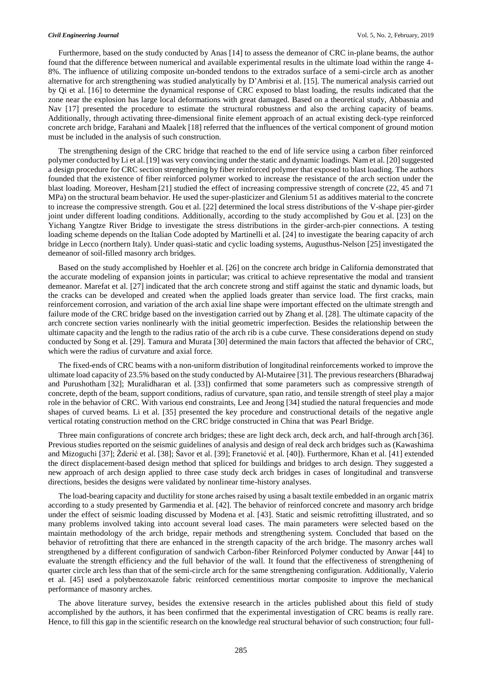Furthermore, based on the study conducted by Anas [14] to assess the demeanor of CRC in-plane beams, the author found that the difference between numerical and available experimental results in the ultimate load within the range 4- 8%. The influence of utilizing composite un-bonded tendons to the extrados surface of a semi-circle arch as another alternative for arch strengthening was studied analytically by D'Ambrisi et al. [15]. The numerical analysis carried out by Qi et al. [16] to determine the dynamical response of CRC exposed to blast loading, the results indicated that the zone near the explosion has large local deformations with great damaged. Based on a theoretical study, Abbasnia and Nav [17] presented the procedure to estimate the structural robustness and also the arching capacity of beams. Additionally, through activating three-dimensional finite element approach of an actual existing deck-type reinforced concrete arch bridge, Farahani and Maalek [18] referred that the influences of the vertical component of ground motion must be included in the analysis of such construction.

The strengthening design of the CRC bridge that reached to the end of life service using a carbon fiber reinforced polymer conducted by Li et al.[19] was very convincing under the static and dynamic loadings. Nam et al. [20] suggested a design procedure for CRC section strengthening by fiber reinforced polymer that exposed to blast loading. The authors founded that the existence of fiber reinforced polymer worked to increase the resistance of the arch section under the blast loading. Moreover, Hesham [21] studied the effect of increasing compressive strength of concrete (22, 45 and 71 MPa) on the structural beam behavior. He used the super-plasticizer and Glenium 51 as additives material to the concrete to increase the compressive strength. Gou et al. [22] determined the local stress distributions of the V-shape pier-girder joint under different loading conditions. Additionally, according to the study accomplished by Gou et al. [23] on the Yichang Yangtze River Bridge to investigate the stress distributions in the girder-arch-pier connections. A testing loading scheme depends on the Italian Code adopted by Martinelli et al. [24] to investigate the bearing capacity of arch bridge in Lecco (northern Italy). Under quasi-static and cyclic loading systems, Augusthus-Nelson [25] investigated the demeanor of soil-filled masonry arch bridges.

Based on the study accomplished by Hoehler et al. [26] on the concrete arch bridge in California demonstrated that the accurate modeling of expansion joints in particular; was critical to achieve representative the modal and transient demeanor. Marefat et al. [27] indicated that the arch concrete strong and stiff against the static and dynamic loads, but the cracks can be developed and created when the applied loads greater than service load. The first cracks, main reinforcement corrosion, and variation of the arch axial line shape were important effected on the ultimate strength and failure mode of the CRC bridge based on the investigation carried out by Zhang et al. [28]. The ultimate capacity of the arch concrete section varies nonlinearly with the initial geometric imperfection. Besides the relationship between the ultimate capacity and the length to the radius ratio of the arch rib is a cube curve. These considerations depend on study conducted by Song et al. [29]. Tamura and Murata [30] determined the main factors that affected the behavior of CRC, which were the radius of curvature and axial force.

The fixed-ends of CRC beams with a non-uniform distribution of longitudinal reinforcements worked to improve the ultimate load capacity of 23.5% based on the study conducted by Al-Mutairee [31]. The previous researchers (Bharadwaj and Purushotham [32]; Muralidharan et al. [33]) confirmed that some parameters such as compressive strength of concrete, depth of the beam, support conditions, radius of curvature, span ratio, and tensile strength of steel play a major role in the behavior of CRC. With various end constraints, Lee and Jeong [34] studied the natural frequencies and mode shapes of curved beams. Li et al. [35] presented the key procedure and constructional details of the negative angle vertical rotating construction method on the CRC bridge constructed in China that was Pearl Bridge.

Three main configurations of concrete arch bridges; these are light deck arch, deck arch, and half-through arch [36]. Previous studies reported on the seismic guidelines of analysis and design of real deck arch bridges such as (Kawashima and Mizoguchi [37]; Žderić et al. [38]; Šavor et al. [39]; Franetović et al. [40]). Furthermore, Khan et al. [41] extended the direct displacement-based design method that spliced for buildings and bridges to arch design. They suggested a new approach of arch design applied to three case study deck arch bridges in cases of longitudinal and transverse directions, besides the designs were validated by nonlinear time-history analyses.

The load-bearing capacity and ductility for stone arches raised by using a basalt textile embedded in an organic matrix according to a study presented by Garmendia et al. [42]. The behavior of reinforced concrete and masonry arch bridge under the effect of seismic loading discussed by Modena et al. [43]. Static and seismic retrofitting illustrated, and so many problems involved taking into account several load cases. The main parameters were selected based on the maintain methodology of the arch bridge, repair methods and strengthening system. Concluded that based on the behavior of retrofitting that there are enhanced in the strength capacity of the arch bridge. The masonry arches wall strengthened by a different configuration of sandwich Carbon-fiber Reinforced Polymer conducted by Anwar [44] to evaluate the strength efficiency and the full behavior of the wall. It found that the effectiveness of strengthening of quarter circle arch less than that of the semi-circle arch for the same strengthening configuration. Additionally, Valerio et al. [45] used a polybenzoxazole fabric reinforced cementitious mortar composite to improve the mechanical performance of masonry arches.

The above literature survey, besides the extensive research in the articles published about this field of study accomplished by the authors, it has been confirmed that the experimental investigation of CRC beams is really rare. Hence, to fill this gap in the scientific research on the knowledge real structural behavior of such construction; four full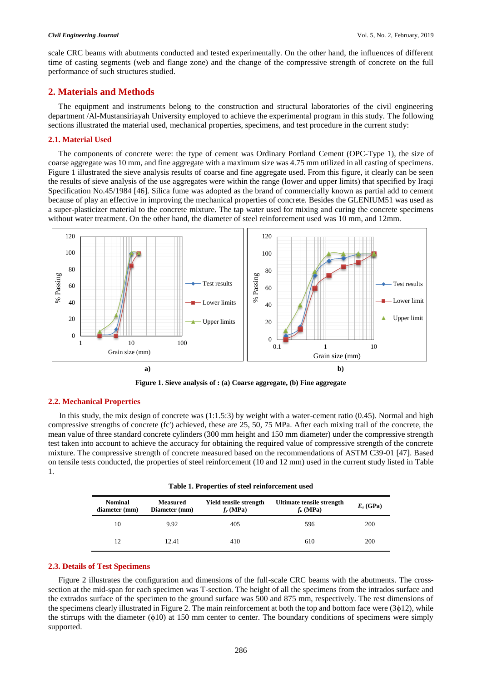scale CRC beams with abutments conducted and tested experimentally. On the other hand, the influences of different time of casting segments (web and flange zone) and the change of the compressive strength of concrete on the full performance of such structures studied.

# **2. Materials and Methods**

The equipment and instruments belong to the construction and structural laboratories of the civil engineering department /Al-Mustansiriayah University employed to achieve the experimental program in this study. The following sections illustrated the material used, mechanical properties, specimens, and test procedure in the current study:

#### **2.1. Material Used**

The components of concrete were: the type of cement was Ordinary Portland Cement (OPC-Type 1), the size of coarse aggregate was 10 mm, and fine aggregate with a maximum size was 4.75 mm utilized in all casting of specimens. Figure 1 illustrated the sieve analysis results of coarse and fine aggregate used. From this figure, it clearly can be seen the results of sieve analysis of the use aggregates were within the range (lower and upper limits) that specified by Iraqi Specification No.45/1984 [46]. Silica fume was adopted as the brand of commercially known as partial add to cement because of play an effective in improving the mechanical properties of concrete. Besides the GLENIUM51 was used as a super-plasticizer material to the concrete mixture. The tap water used for mixing and curing the concrete specimens without water treatment. On the other hand, the diameter of steel reinforcement used was 10 mm, and 12mm.



**Figure 1. Sieve analysis of : (a) Coarse aggregate, (b) Fine aggregate**

### **2.2. Mechanical Properties**

In this study, the mix design of concrete was (1:1.5:3) by weight with a water-cement ratio (0.45). Normal and high compressive strengths of concrete (fc') achieved, these are 25, 50, 75 MPa. After each mixing trail of the concrete, the mean value of three standard concrete cylinders (300 mm height and 150 mm diameter) under the compressive strength test taken into account to achieve the accuracy for obtaining the required value of compressive strength of the concrete mixture. The compressive strength of concrete measured based on the recommendations of ASTM C39-01 [47]. Based on tensile tests conducted, the properties of steel reinforcement (10 and 12 mm) used in the current study listed in Table 1.

| Table 1. Properties of steel reinforcement used |  |  |  |
|-------------------------------------------------|--|--|--|
|-------------------------------------------------|--|--|--|

| <b>Nominal</b><br>diameter (mm) | <b>Measured</b><br>Diameter (mm) | Yield tensile strength<br>$f_{v}$ (MPa) | Ultimate tensile strength<br>$f_u$ (MPa) | $E_s$ (GPa) |
|---------------------------------|----------------------------------|-----------------------------------------|------------------------------------------|-------------|
| 10                              | 9.92                             | 405                                     | 596                                      | 200         |
| 12                              | 12.41                            | 410                                     | 610                                      | 200         |

#### **2.3. Details of Test Specimens**

Figure 2 illustrates the configuration and dimensions of the full-scale CRC beams with the abutments. The crosssection at the mid-span for each specimen was T-section. The height of all the specimens from the intrados surface and the extrados surface of the specimen to the ground surface was 500 and 875 mm, respectively. The rest dimensions of the specimens clearly illustrated in Figure 2. The main reinforcement at both the top and bottom face were  $(3<sub>\phi</sub>12)$ , while the stirrups with the diameter (ϕ10) at 150 mm center to center. The boundary conditions of specimens were simply supported.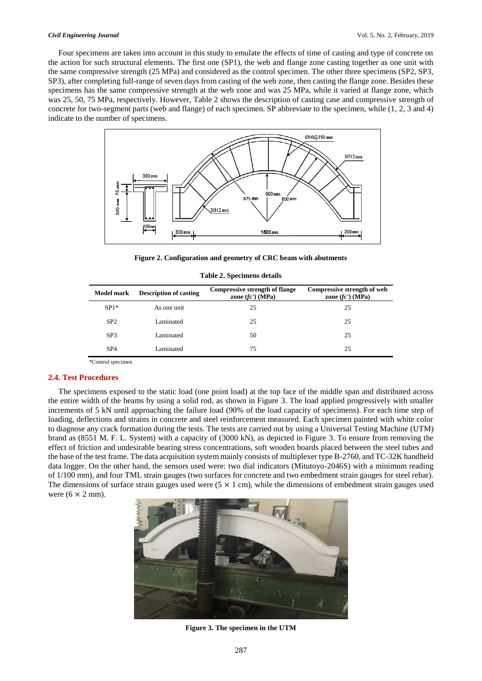Four specimens are taken into account in this study to emulate the effects of time of casting and type of concrete on the action for such structural elements. The first one (SP1), the web and flange zone casting together as one unit with the same compressive strength (25 MPa) and considered as the control specimen. The other three specimens (SP2, SP3, SP3), after completing full-range of seven days from casting of the web zone, then casting the flange zone. Besides these specimens has the same compressive strength at the web zone and was 25 MPa, while it varied at flange zone, which was 25, 50, 75 MPa, respectively. However, Table 2 shows the description of casting case and compressive strength of concrete for two-segment parts (web and flange) of each specimen. SP abbreviate to the specimen, while (1, 2, 3 and 4) indicate to the number of specimens.



**Figure 2. Configuration and geometry of CRC beam with abutments**

| Model mark      | <b>Description of casting</b> | <b>Compressive strength of flange</b><br>zone $f(c')$ (MPa) | Compressive strength of web<br>zone $f(c')$ (MPa) |
|-----------------|-------------------------------|-------------------------------------------------------------|---------------------------------------------------|
| $SP1*$          | As one unit                   | 25                                                          | 25                                                |
| SP <sub>2</sub> | Laminated                     | 25                                                          | 25                                                |
| SP <sub>3</sub> | Laminated                     | 50                                                          | 25                                                |
| SP <sub>4</sub> | Laminated                     | 75                                                          | 25                                                |

|  |  | <b>Table 2. Specimens details</b> |  |
|--|--|-----------------------------------|--|
|--|--|-----------------------------------|--|

\*Control specimen

#### **2.4. Test Procedures**

The specimens exposed to the static load (one point load) at the top face of the middle span and distributed across the entire width of the beams by using a solid rod, as shown in Figure 3. The load applied progressively with smaller increments of 5 kN until approaching the failure load (90% of the load capacity of specimens). For each time step of loading, deflections and strains in concrete and steel reinforcement measured. Each specimen painted with white color to diagnose any crack formation during the tests. The tests are carried out by using a Universal Testing Machine (UTM) brand as (8551 M. F. L. System) with a capacity of (3000 kN), as depicted in Figure 3. To ensure from removing the effect of friction and undesirable bearing stress concentrations, soft wooden boards placed between the steel tubes and the base of the test frame. The data acquisition system mainly consists of multiplexer type B-2760, and TC-32K handheld data logger. On the other hand, the sensors used were: two dial indicators (Mitutoyo-2046S) with a minimum reading of 1/100 mm), and four TML strain gauges (two surfaces for concrete and two embedment strain gauges for steel rebar). The dimensions of surface strain gauges used were  $(5 \times 1 \text{ cm})$ , while the dimensions of embedment strain gauges used were  $(6 \times 2 \text{ mm})$ .



**Figure 3. The specimen in the UTM**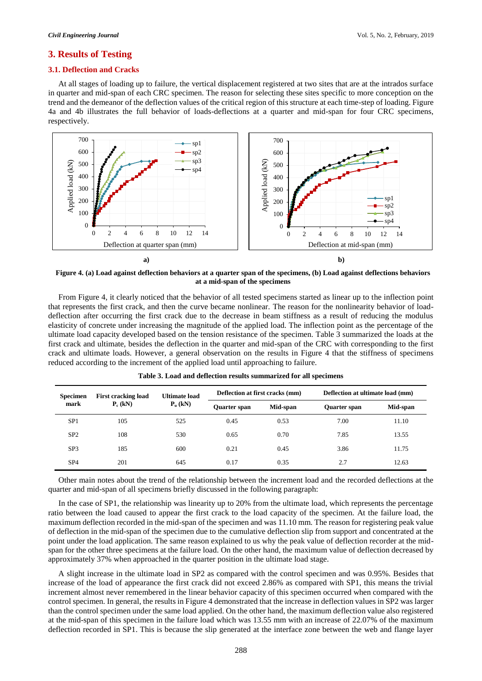#### **3. Results of Testing**

#### **3.1. Deflection and Cracks**

At all stages of loading up to failure, the vertical displacement registered at two sites that are at the intrados surface in quarter and mid-span of each CRC specimen. The reason for selecting these sites specific to more conception on the trend and the demeanor of the deflection values of the critical region of this structure at each time-step of loading. Figure 4a and 4b illustrates the full behavior of loads-deflections at a quarter and mid-span for four CRC specimens, respectively.



**Figure 4. (a) Load against deflection behaviors at a quarter span of the specimens, (b) Load against deflections behaviors at a mid-span of the specimens**

From Figure 4, it clearly noticed that the behavior of all tested specimens started as linear up to the inflection point that represents the first crack, and then the curve became nonlinear. The reason for the nonlinearity behavior of loaddeflection after occurring the first crack due to the decrease in beam stiffness as a result of reducing the modulus elasticity of concrete under increasing the magnitude of the applied load. The inflection point as the percentage of the ultimate load capacity developed based on the tension resistance of the specimen. Table 3 summarized the loads at the first crack and ultimate, besides the deflection in the quarter and mid-span of the CRC with corresponding to the first crack and ultimate loads. However, a general observation on the results in Figure 4 that the stiffness of specimens reduced according to the increment of the applied load until approaching to failure.

| <b>Specimen</b><br>mark | <b>First cracking load</b><br>$P_c$ (kN) | <b>Ultimate load</b><br>$P_n$ (kN) | Deflection at first cracks (mm) |          | Deflection at ultimate load (mm) |          |
|-------------------------|------------------------------------------|------------------------------------|---------------------------------|----------|----------------------------------|----------|
|                         |                                          |                                    | Quarter span                    | Mid-span | <b>Quarter span</b>              | Mid-span |
| SP <sub>1</sub>         | 105                                      | 525                                | 0.45                            | 0.53     | 7.00                             | 11.10    |
| SP <sub>2</sub>         | 108                                      | 530                                | 0.65                            | 0.70     | 7.85                             | 13.55    |
| SP <sub>3</sub>         | 185                                      | 600                                | 0.21                            | 0.45     | 3.86                             | 11.75    |
| SP <sub>4</sub>         | 201                                      | 645                                | 0.17                            | 0.35     | 2.7                              | 12.63    |

**Table 3. Load and deflection results summarized for all specimens**

Other main notes about the trend of the relationship between the increment load and the recorded deflections at the quarter and mid-span of all specimens briefly discussed in the following paragraph:

In the case of SP1, the relationship was linearity up to 20% from the ultimate load, which represents the percentage ratio between the load caused to appear the first crack to the load capacity of the specimen. At the failure load, the maximum deflection recorded in the mid-span of the specimen and was 11.10 mm. The reason for registering peak value of deflection in the mid-span of the specimen due to the cumulative deflection slip from support and concentrated at the point under the load application. The same reason explained to us why the peak value of deflection recorder at the midspan for the other three specimens at the failure load. On the other hand, the maximum value of deflection decreased by approximately 37% when approached in the quarter position in the ultimate load stage.

A slight increase in the ultimate load in SP2 as compared with the control specimen and was 0.95%. Besides that increase of the load of appearance the first crack did not exceed 2.86% as compared with SP1, this means the trivial increment almost never remembered in the linear behavior capacity of this specimen occurred when compared with the control specimen. In general, the results in Figure 4 demonstrated that the increase in deflection values in SP2 was larger than the control specimen under the same load applied. On the other hand, the maximum deflection value also registered at the mid-span of this specimen in the failure load which was 13.55 mm with an increase of 22.07% of the maximum deflection recorded in SP1. This is because the slip generated at the interface zone between the web and flange layer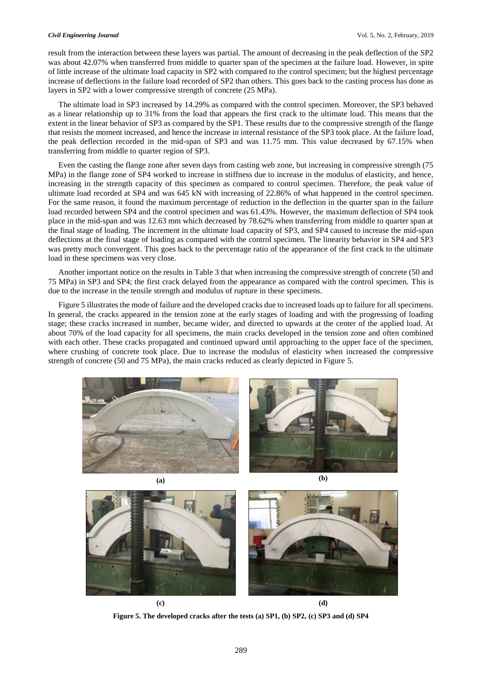result from the interaction between these layers was partial. The amount of decreasing in the peak deflection of the SP2 was about 42.07% when transferred from middle to quarter span of the specimen at the failure load. However, in spite of little increase of the ultimate load capacity in SP2 with compared to the control specimen; but the highest percentage increase of deflections in the failure load recorded of SP2 than others. This goes back to the casting process has done as layers in SP2 with a lower compressive strength of concrete (25 MPa).

The ultimate load in SP3 increased by 14.29% as compared with the control specimen. Moreover, the SP3 behaved as a linear relationship up to 31% from the load that appears the first crack to the ultimate load. This means that the extent in the linear behavior of SP3 as compared by the SP1. These results due to the compressive strength of the flange that resists the moment increased, and hence the increase in internal resistance of the SP3 took place. At the failure load, the peak deflection recorded in the mid-span of SP3 and was 11.75 mm. This value decreased by 67.15% when transferring from middle to quarter region of SP3.

Even the casting the flange zone after seven days from casting web zone, but increasing in compressive strength (75 MPa) in the flange zone of SP4 worked to increase in stiffness due to increase in the modulus of elasticity, and hence, increasing in the strength capacity of this specimen as compared to control specimen. Therefore, the peak value of ultimate load recorded at SP4 and was 645 kN with increasing of 22.86% of what happened in the control specimen. For the same reason, it found the maximum percentage of reduction in the deflection in the quarter span in the failure load recorded between SP4 and the control specimen and was 61.43%. However, the maximum deflection of SP4 took place in the mid-span and was 12.63 mm which decreased by 78.62% when transferring from middle to quarter span at the final stage of loading. The increment in the ultimate load capacity of SP3, and SP4 caused to increase the mid-span deflections at the final stage of loading as compared with the control specimen. The linearity behavior in SP4 and SP3 was pretty much convergent. This goes back to the percentage ratio of the appearance of the first crack to the ultimate load in these specimens was very close.

Another important notice on the results in Table 3 that when increasing the compressive strength of concrete (50 and 75 MPa) in SP3 and SP4; the first crack delayed from the appearance as compared with the control specimen. This is due to the increase in the tensile strength and modulus of rupture in these specimens.

Figure 5 illustrates the mode of failure and the developed cracks due to increased loads up to failure for all specimens. In general, the cracks appeared in the tension zone at the early stages of loading and with the progressing of loading stage; these cracks increased in number, became wider, and directed to upwards at the center of the applied load. At about 70% of the load capacity for all specimens, the main cracks developed in the tension zone and often combined with each other. These cracks propagated and continued upward until approaching to the upper face of the specimen, where crushing of concrete took place. Due to increase the modulus of elasticity when increased the compressive strength of concrete (50 and 75 MPa), the main cracks reduced as clearly depicted in Figure 5.





**Figure 5. The developed cracks after the tests (a) SP1, (b) SP2, (c) SP3 and (d) SP4**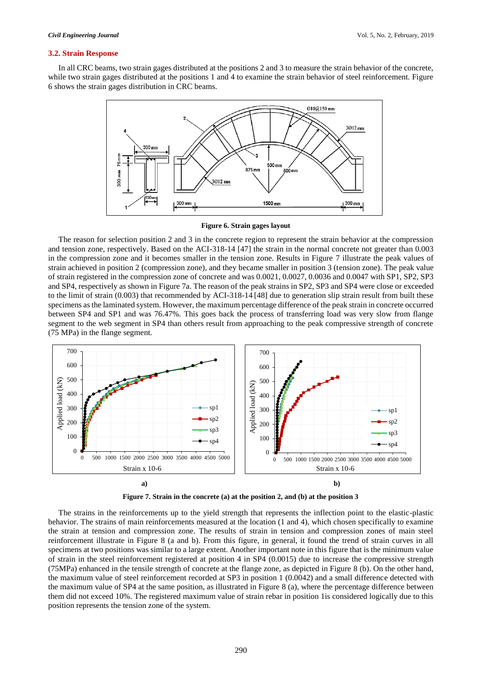#### **3.2. Strain Response**

In all CRC beams, two strain gages distributed at the positions 2 and 3 to measure the strain behavior of the concrete, while two strain gages distributed at the positions 1 and 4 to examine the strain behavior of steel reinforcement. Figure 6 shows the strain gages distribution in CRC beams.



#### **Figure 6. Strain gages layout**

The reason for selection position 2 and 3 in the concrete region to represent the strain behavior at the compression and tension zone, respectively. Based on the ACI-318-14 [47] the strain in the normal concrete not greater than 0.003 in the compression zone and it becomes smaller in the tension zone. Results in Figure 7 illustrate the peak values of strain achieved in position 2 (compression zone), and they became smaller in position 3 (tension zone). The peak value of strain registered in the compression zone of concrete and was 0.0021, 0.0027, 0.0036 and 0.0047 with SP1, SP2, SP3 and SP4, respectively as shown in Figure 7a. The reason of the peak strains in SP2, SP3 and SP4 were close or exceeded to the limit of strain (0.003) that recommended by ACI-318-14 [48] due to generation slip strain result from built these specimens as the laminated system. However, the maximum percentage difference of the peak strain in concrete occurred between SP4 and SP1 and was 76.47%. This goes back the process of transferring load was very slow from flange segment to the web segment in SP4 than others result from approaching to the peak compressive strength of concrete (75 MPa) in the flange segment.





The strains in the reinforcements up to the yield strength that represents the inflection point to the elastic-plastic behavior. The strains of main reinforcements measured at the location (1 and 4), which chosen specifically to examine the strain at tension and compression zone. The results of strain in tension and compression zones of main steel reinforcement illustrate in Figure 8 (a and b). From this figure, in general, it found the trend of strain curves in all specimens at two positions was similar to a large extent. Another important note in this figure that is the minimum value of strain in the steel reinforcement registered at position 4 in SP4 (0.0015) due to increase the compressive strength (75MPa) enhanced in the tensile strength of concrete at the flange zone, as depicted in Figure 8 (b). On the other hand, the maximum value of steel reinforcement recorded at SP3 in position 1 (0.0042) and a small difference detected with the maximum value of SP4 at the same position, as illustrated in Figure 8 (a), where the percentage difference between them did not exceed 10%. The registered maximum value of strain rebar in position 1is considered logically due to this position represents the tension zone of the system.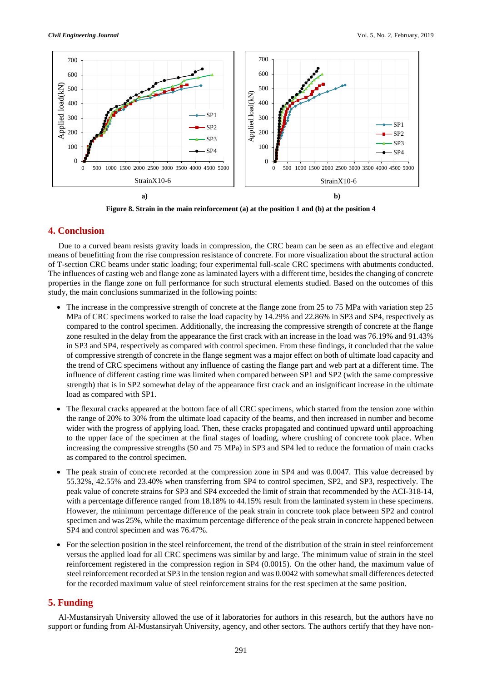

**Figure 8. Strain in the main reinforcement (a) at the position 1 and (b) at the position 4**

# **4. Conclusion**

Due to a curved beam resists gravity loads in compression, the CRC beam can be seen as an effective and elegant means of benefitting from the rise compression resistance of concrete. For more visualization about the structural action of T-section CRC beams under static loading; four experimental full-scale CRC specimens with abutments conducted. The influences of casting web and flange zone as laminated layers with a different time, besides the changing of concrete properties in the flange zone on full performance for such structural elements studied. Based on the outcomes of this study, the main conclusions summarized in the following points:

- The increase in the compressive strength of concrete at the flange zone from 25 to 75 MPa with variation step 25 MPa of CRC specimens worked to raise the load capacity by 14.29% and 22.86% in SP3 and SP4, respectively as compared to the control specimen. Additionally, the increasing the compressive strength of concrete at the flange zone resulted in the delay from the appearance the first crack with an increase in the load was 76.19% and 91.43% in SP3 and SP4, respectively as compared with control specimen. From these findings, it concluded that the value of compressive strength of concrete in the flange segment was a major effect on both of ultimate load capacity and the trend of CRC specimens without any influence of casting the flange part and web part at a different time. The influence of different casting time was limited when compared between SP1 and SP2 (with the same compressive strength) that is in SP2 somewhat delay of the appearance first crack and an insignificant increase in the ultimate load as compared with SP1.
- The flexural cracks appeared at the bottom face of all CRC specimens, which started from the tension zone within the range of 20% to 30% from the ultimate load capacity of the beams, and then increased in number and become wider with the progress of applying load. Then, these cracks propagated and continued upward until approaching to the upper face of the specimen at the final stages of loading, where crushing of concrete took place. When increasing the compressive strengths (50 and 75 MPa) in SP3 and SP4 led to reduce the formation of main cracks as compared to the control specimen.
- The peak strain of concrete recorded at the compression zone in SP4 and was 0.0047. This value decreased by 55.32%, 42.55% and 23.40% when transferring from SP4 to control specimen, SP2, and SP3, respectively. The peak value of concrete strains for SP3 and SP4 exceeded the limit of strain that recommended by the ACI-318-14, with a percentage difference ranged from 18.18% to 44.15% result from the laminated system in these specimens. However, the minimum percentage difference of the peak strain in concrete took place between SP2 and control specimen and was 25%, while the maximum percentage difference of the peak strain in concrete happened between SP4 and control specimen and was 76.47%.
- For the selection position in the steel reinforcement, the trend of the distribution of the strain in steel reinforcement versus the applied load for all CRC specimens was similar by and large. The minimum value of strain in the steel reinforcement registered in the compression region in SP4 (0.0015). On the other hand, the maximum value of steel reinforcement recorded at SP3 in the tension region and was 0.0042 with somewhat small differences detected for the recorded maximum value of steel reinforcement strains for the rest specimen at the same position.

# **5. Funding**

Al-Mustansiryah University allowed the use of it laboratories for authors in this research, but the authors have no support or funding from Al-Mustansiryah University, agency, and other sectors. The authors certify that they have non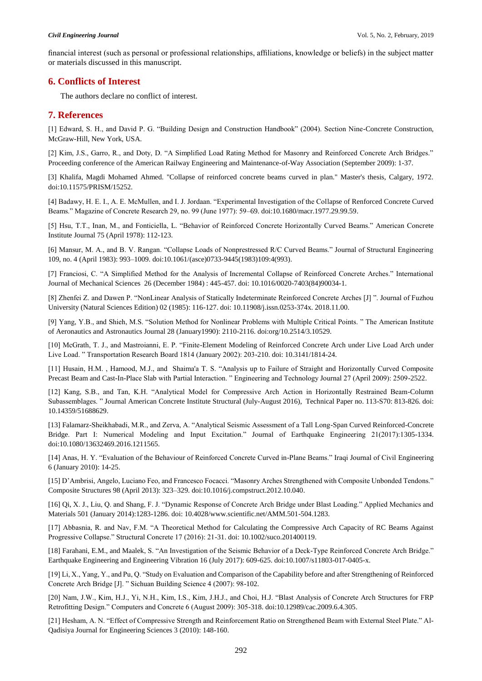financial interest (such as personal or professional relationships, affiliations, knowledge or beliefs) in the subject matter or materials discussed in this manuscript.

# **6. Conflicts of Interest**

The authors declare no conflict of interest.

# **7. References**

[1] Edward, S. H., and David P. G. "Building Design and Construction Handbook" (2004). Section Nine-Concrete Construction, McGraw-Hill, New York, USA.

[2] Kim, J.S., Garro, R., and Doty, D. "A Simplified Load Rating Method for Masonry and Reinforced Concrete Arch Bridges." Proceeding conference of the American Railway Engineering and Maintenance-of-Way Association (September 2009): 1-37.

[3] Khalifa, Magdi Mohamed Ahmed. "Collapse of reinforced concrete beams curved in plan." Master's thesis, Calgary, 1972. doi:10.11575/PRISM/15252.

[4] Badawy, H. E. I., A. E. McMullen, and I. J. Jordaan. "Experimental Investigation of the Collapse of Renforced Concrete Curved Beams." Magazine of Concrete Research 29, no. 99 (June 1977): 59–69. doi:10.1680/macr.1977.29.99.59.

[5] Hsu, T.T., Inan, M., and Fonticiella, L. "Behavior of Reinforced Concrete Horizontally Curved Beams." American Concrete Institute Journal 75 (April 1978): 112-123.

[6] Mansur, M. A., and B. V. Rangan. "Collapse Loads of Nonprestressed R/C Curved Beams." Journal of Structural Engineering 109, no. 4 (April 1983): 993–1009. doi:10.1061/(asce)0733-9445(1983)109:4(993).

[7] Franciosi, C. "A Simplified Method for the Analysis of Incremental Collapse of Reinforced Concrete Arches." International Journal of Mechanical Sciences 26 (December 1984) : 445-457. doi: 10.1016/0020-7403(84)90034-1.

[8] Zhenfei Z. and Dawen P. "NonLinear Analysis of Statically Indeterminate Reinforced Concrete Arches [J] ". Journal of Fuzhou University (Natural Sciences Edition) 02 (1985): 116-127. doi: 10.11908/j.issn.0253-374x. 2018.11.00.

[9] Yang, Y.B., and Shieh, M.S. "Solution Method for Nonlinear Problems with Multiple Critical Points. " The American Institute of Aeronautics and Astronautics Journal 28 (January1990): 2110-2116. doi:org/10.2514/3.10529.

[10] McGrath, T. J., and Mastroianni, E. P. "Finite-Element Modeling of Reinforced Concrete Arch under Live Load Arch under Live Load. " Transportation Research Board 1814 (January 2002): 203-210. doi: 10.3141/1814-24.

[11] Husain, H.M. , Hamood, M.J., and Shaima'a T. S. "Analysis up to Failure of Straight and Horizontally Curved Composite Precast Beam and Cast-In-Place Slab with Partial Interaction. " Engineering and Technology Journal 27 (April 2009): 2509-2522.

[12] Kang, S.B., and Tan, K.H. "Analytical Model for Compressive Arch Action in Horizontally Restrained Beam-Column Subassemblages. " Journal American Concrete Institute Structural (July-August 2016), Technical Paper no. 113-S70: 813-826. doi: 10.14359/51688629.

[13] Falamarz-Sheikhabadi, M.R., and Zerva, A. "Analytical Seismic Assessment of a Tall Long-Span Curved Reinforced-Concrete Bridge. Part I: Numerical Modeling and Input Excitation." Journal of Earthquake Engineering 21(2017):1305-1334. doi:10.1080/13632469.2016.1211565.

[14] Anas, H. Y. "Evaluation of the Behaviour of Reinforced Concrete Curved in-Plane Beams." Iraqi Journal of Civil Engineering 6 (January 2010): 14-25.

[15] D'Ambrisi, Angelo, Luciano Feo, and Francesco Focacci. "Masonry Arches Strengthened with Composite Unbonded Tendons." Composite Structures 98 (April 2013): 323–329. doi:10.1016/j.compstruct.2012.10.040.

[16] Qi, X. J., Liu, Q. and Shang, F. J. "Dynamic Response of Concrete Arch Bridge under Blast Loading." Applied Mechanics and Materials 501 (January 2014):1283-1286. doi: 10.4028/www.scientific.net/AMM.501-504.1283.

[17] Abbasnia, R. and Nav, F.M. "A Theoretical Method for Calculating the Compressive Arch Capacity of RC Beams Against Progressive Collapse." Structural Concrete 17 (2016): 21-31. doi: 10.1002/suco.201400119.

[18] Farahani, E.M., and Maalek, S. "An Investigation of the Seismic Behavior of a Deck-Type Reinforced Concrete Arch Bridge." Earthquake Engineering and Engineering Vibration 16 (July 2017): 609-625. doi:10.1007/s11803-017-0405-x.

[19] Li, X., Yang, Y., and Pu, Q. "Study on Evaluation and Comparison of the Capability before and after Strengthening of Reinforced Concrete Arch Bridge [J]. " Sichuan Building Science 4 (2007): 98-102.

[20] Nam, J.W., Kim, H.J., Yi, N.H., Kim, I.S., Kim, J.H.J., and Choi, H.J. "Blast Analysis of Concrete Arch Structures for FRP Retrofitting Design." Computers and Concrete 6 (August 2009): 305-318. doi:10.12989/cac.2009.6.4.305.

[21] Hesham, A. N. "Effect of Compressive Strength and Reinforcement Ratio on Strengthened Beam with External Steel Plate." Al-Qadisiya Journal for Engineering Sciences 3 (2010): 148-160.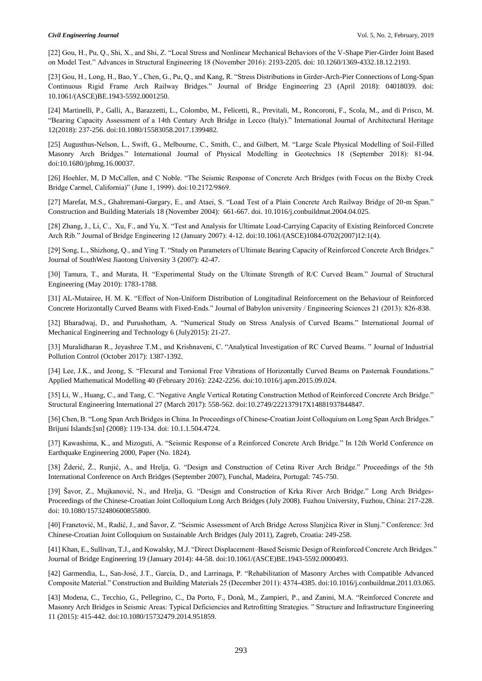[22] Gou, H., Pu, Q., Shi, X., and Shi, Z. "Local Stress and Nonlinear Mechanical Behaviors of the V-Shape Pier-Girder Joint Based on Model Test." Advances in Structural Engineering 18 (November 2016): 2193-2205. doi: 10.1260/1369-4332.18.12.2193.

[23] Gou, H., Long, H., Bao, Y., Chen, G., Pu, Q., and Kang, R. "Stress Distributions in Girder-Arch-Pier Connections of Long-Span Continuous Rigid Frame Arch Railway Bridges." Journal of Bridge Engineering 23 (April 2018): 04018039. doi: 10.1061/(ASCE)BE.1943-5592.0001250.

[24] Martinelli, P., Galli, A., Barazzetti, L., Colombo, M., Felicetti, R., Previtali, M., Roncoroni, F., Scola, M., and di Prisco, M. "Bearing Capacity Assessment of a 14th Century Arch Bridge in Lecco (Italy)." International Journal of Architectural Heritage 12(2018): 237-256. doi:10.1080/15583058.2017.1399482.

[25] Augusthus-Nelson, L., Swift, G., Melbourne, C., Smith, C., and Gilbert, M. "Large Scale Physical Modelling of Soil-Filled Masonry Arch Bridges." International Journal of Physical Modelling in Geotechnics 18 (September 2018): 81-94. doi:10.1680/jphmg.16.00037.

[26] Hoehler, M, D McCallen, and C Noble. "The Seismic Response of Concrete Arch Bridges (with Focus on the Bixby Creek Bridge Carmel, California)" (June 1, 1999). doi:10.2172/9869.

[27] Marefat, M.S., Ghahremani-Gargary, E., and Ataei, S. "Load Test of a Plain Concrete Arch Railway Bridge of 20-m Span." Construction and Building Materials 18 (November 2004): 661-667. doi. 10.1016/j.conbuildmat.2004.04.025.

[28] Zhang, J., Li, C., Xu, F., and Yu, X. "Test and Analysis for Ultimate Load-Carrying Capacity of Existing Reinforced Concrete Arch Rib." Journal of Bridge Engineering 12 (January 2007): 4-12. doi:10.1061/(ASCE)1084-0702(2007)12:1(4).

[29] Song, L., Shizhong, Q., and Ying T. "Study on Parameters of Ultimate Bearing Capacity of Reinforced Concrete Arch Bridges." Journal of SouthWest Jiaotong University 3 (2007): 42-47.

[30] Tamura, T., and Murata, H. "Experimental Study on the Ultimate Strength of R/C Curved Beam." Journal of Structural Engineering (May 2010): 1783-1788.

[31] AL-Mutairee, H. M. K. "Effect of Non-Uniform Distribution of Longitudinal Reinforcement on the Behaviour of Reinforced Concrete Horizontally Curved Beams with Fixed-Ends." Journal of Babylon university / Engineering Sciences 21 (2013): 826-838.

[32] Bharadwaj, D., and Purushotham, A. "Numerical Study on Stress Analysis of Curved Beams." International Journal of Mechanical Engineering and Technology 6 (July2015): 21-27.

[33] Muralidharan R., Jeyashree T.M., and Krishnaveni, C. "Analytical Investigation of RC Curved Beams. " Journal of Industrial Pollution Control (October 2017): 1387-1392.

[34] Lee, J.K., and Jeong, S. "Flexural and Torsional Free Vibrations of Horizontally Curved Beams on Pasternak Foundations." Applied Mathematical Modelling 40 (February 2016): 2242-2256. doi:10.1016/j.apm.2015.09.024.

[35] Li, W., Huang, C., and Tang, C. "Negative Angle Vertical Rotating Construction Method of Reinforced Concrete Arch Bridge." Structural Engineering International 27 (March 2017): 558-562. doi:10.2749/222137917X14881937844847.

[36] Chen, B. "Long Span Arch Bridges in China. In Proceedings of Chinese-Croatian Joint Colloquium on Long Span Arch Bridges." Brijuni Islands:[sn] (2008): 119-134. doi: 10.1.1.504.4724.

[37] Kawashima, K., and Mizoguti, A. "Seismic Response of a Reinforced Concrete Arch Bridge." In 12th World Conference on Earthquake Engineering 2000, Paper (No. 1824).

[38] Žderić, Ž., Runjić, A., and Hrelja, G. "Design and Construction of Cetina River Arch Bridge." Proceedings of the 5th International Conference on Arch Bridges (September 2007), Funchal, Madeira, Portugal: 745-750.

[39] Šavor, Z., Mujkanović, N., and Hrelja, G. "Design and Construction of Krka River Arch Bridge." Long Arch Bridges-Proceedings of the Chinese-Croatian Joint Colloquium Long Arch Bridges (July 2008). Fuzhou University, Fuzhou, China: 217-228. doi: 10.1080/15732480600855800.

[40] Franetović, M., Radić, J., and Šavor, Z. "Seismic Assessment of Arch Bridge Across Slunjčica River in Slunj." Conference: 3rd Chinese-Croatian Joint Colloquium on Sustainable Arch Bridges (July 2011), Zagreb, Croatia: 249-258.

[41] Khan, E., Sullivan, T.J., and Kowalsky, M.J. "Direct Displacement–Based Seismic Design of Reinforced Concrete Arch Bridges." Journal of Bridge Engineering 19 (January 2014): 44-58. doi:10.1061/(ASCE)BE.1943-5592.0000493.

[42] Garmendia, L., San-José, J.T., García, D., and Larrinaga, P. "Rehabilitation of Masonry Arches with Compatible Advanced Composite Material." Construction and Building Materials 25 (December 2011): 4374-4385. doi:10.1016/j.conbuildmat.2011.03.065.

[43] Modena, C., Tecchio, G., Pellegrino, C., Da Porto, F., Donà, M., Zampieri, P., and Zanini, M.A. "Reinforced Concrete and Masonry Arch Bridges in Seismic Areas: Typical Deficiencies and Retrofitting Strategies. " Structure and Infrastructure Engineering 11 (2015): 415-442. doi:10.1080/15732479.2014.951859.